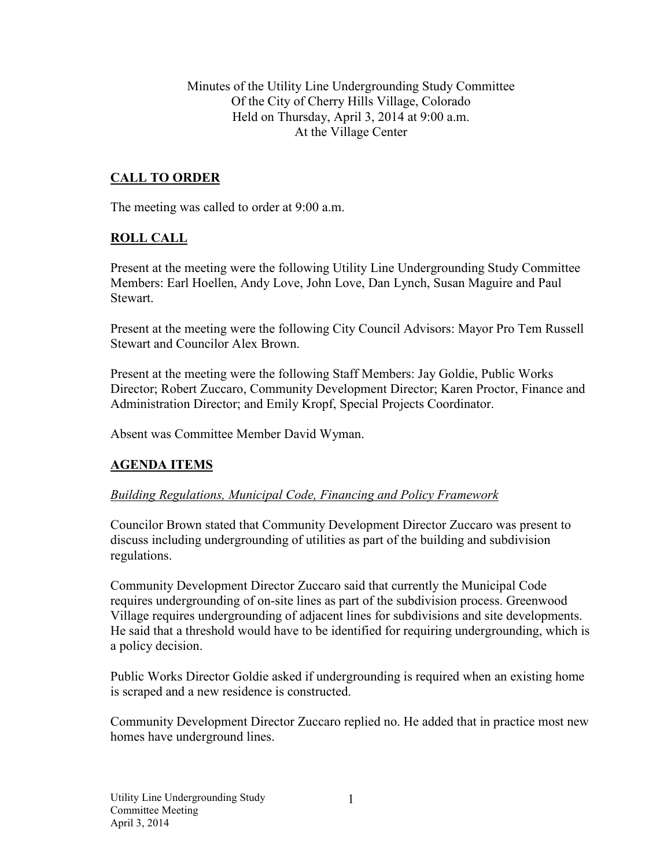Minutes of the Utility Line Undergrounding Study Committee Of the City of Cherry Hills Village, Colorado Held on Thursday, April 3, 2014 at 9:00 a.m. At the Village Center

## **CALL TO ORDER**

The meeting was called to order at 9:00 a.m.

### **ROLL CALL**

Present at the meeting were the following Utility Line Undergrounding Study Committee Members: Earl Hoellen, Andy Love, John Love, Dan Lynch, Susan Maguire and Paul **Stewart** 

Present at the meeting were the following City Council Advisors: Mayor Pro Tem Russell Stewart and Councilor Alex Brown.

Present at the meeting were the following Staff Members: Jay Goldie, Public Works Director; Robert Zuccaro, Community Development Director; Karen Proctor, Finance and Administration Director; and Emily Kropf, Special Projects Coordinator.

Absent was Committee Member David Wyman.

### **AGENDA ITEMS**

#### *Building Regulations, Municipal Code, Financing and Policy Framework*

Councilor Brown stated that Community Development Director Zuccaro was present to discuss including undergrounding of utilities as part of the building and subdivision regulations.

Community Development Director Zuccaro said that currently the Municipal Code requires undergrounding of on-site lines as part of the subdivision process. Greenwood Village requires undergrounding of adjacent lines for subdivisions and site developments. He said that a threshold would have to be identified for requiring undergrounding, which is a policy decision.

Public Works Director Goldie asked if undergrounding is required when an existing home is scraped and a new residence is constructed.

Community Development Director Zuccaro replied no. He added that in practice most new homes have underground lines.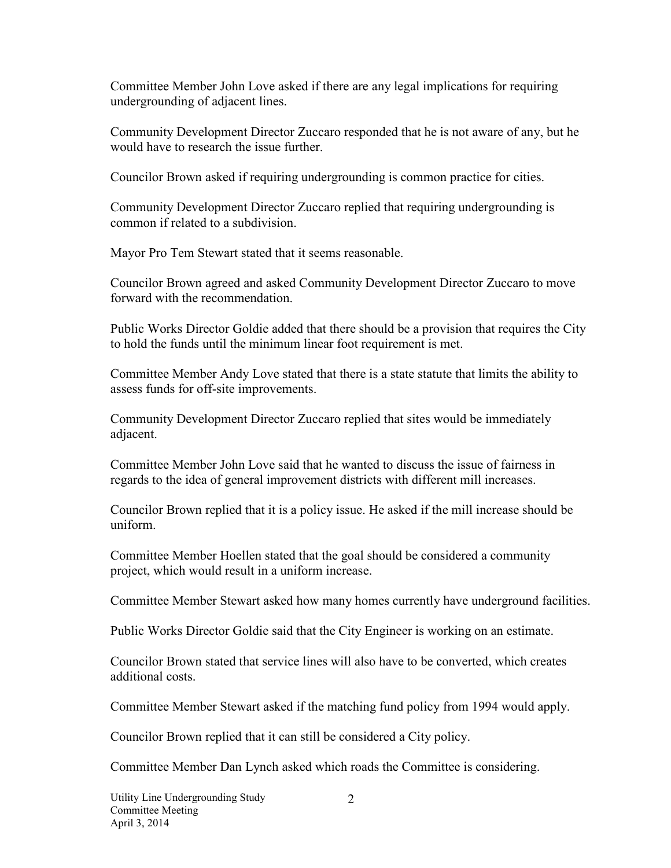Committee Member John Love asked if there are any legal implications for requiring undergrounding of adjacent lines.

Community Development Director Zuccaro responded that he is not aware of any, but he would have to research the issue further.

Councilor Brown asked if requiring undergrounding is common practice for cities.

Community Development Director Zuccaro replied that requiring undergrounding is common if related to a subdivision.

Mayor Pro Tem Stewart stated that it seems reasonable.

Councilor Brown agreed and asked Community Development Director Zuccaro to move forward with the recommendation.

Public Works Director Goldie added that there should be a provision that requires the City to hold the funds until the minimum linear foot requirement is met.

Committee Member Andy Love stated that there is a state statute that limits the ability to assess funds for off-site improvements.

Community Development Director Zuccaro replied that sites would be immediately adjacent.

Committee Member John Love said that he wanted to discuss the issue of fairness in regards to the idea of general improvement districts with different mill increases.

Councilor Brown replied that it is a policy issue. He asked if the mill increase should be uniform.

Committee Member Hoellen stated that the goal should be considered a community project, which would result in a uniform increase.

Committee Member Stewart asked how many homes currently have underground facilities.

Public Works Director Goldie said that the City Engineer is working on an estimate.

Councilor Brown stated that service lines will also have to be converted, which creates additional costs.

Committee Member Stewart asked if the matching fund policy from 1994 would apply.

Councilor Brown replied that it can still be considered a City policy.

Committee Member Dan Lynch asked which roads the Committee is considering.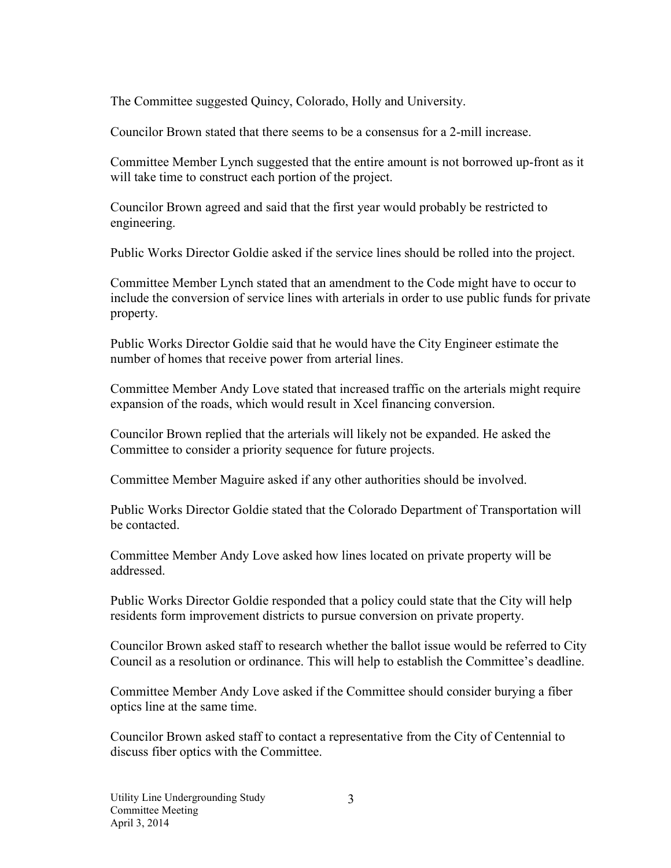The Committee suggested Quincy, Colorado, Holly and University.

Councilor Brown stated that there seems to be a consensus for a 2-mill increase.

Committee Member Lynch suggested that the entire amount is not borrowed up-front as it will take time to construct each portion of the project.

Councilor Brown agreed and said that the first year would probably be restricted to engineering.

Public Works Director Goldie asked if the service lines should be rolled into the project.

Committee Member Lynch stated that an amendment to the Code might have to occur to include the conversion of service lines with arterials in order to use public funds for private property.

Public Works Director Goldie said that he would have the City Engineer estimate the number of homes that receive power from arterial lines.

Committee Member Andy Love stated that increased traffic on the arterials might require expansion of the roads, which would result in Xcel financing conversion.

Councilor Brown replied that the arterials will likely not be expanded. He asked the Committee to consider a priority sequence for future projects.

Committee Member Maguire asked if any other authorities should be involved.

Public Works Director Goldie stated that the Colorado Department of Transportation will be contacted.

Committee Member Andy Love asked how lines located on private property will be addressed.

Public Works Director Goldie responded that a policy could state that the City will help residents form improvement districts to pursue conversion on private property.

Councilor Brown asked staff to research whether the ballot issue would be referred to City Council as a resolution or ordinance. This will help to establish the Committee's deadline.

Committee Member Andy Love asked if the Committee should consider burying a fiber optics line at the same time.

Councilor Brown asked staff to contact a representative from the City of Centennial to discuss fiber optics with the Committee.